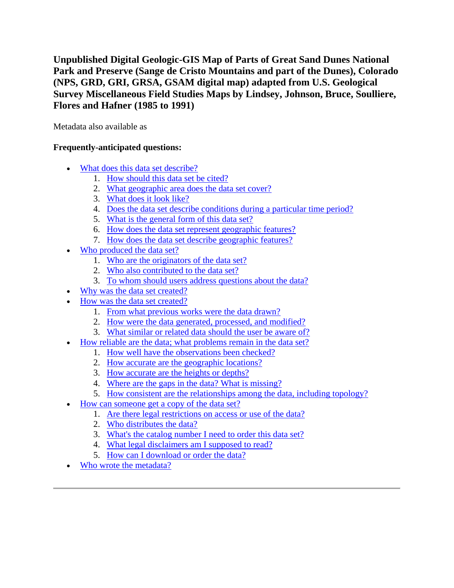**Unpublished Digital Geologic-GIS Map of Parts of Great Sand Dunes National Park and Preserve (Sange de Cristo Mountains and part of the Dunes), Colorado (NPS, GRD, GRI, GRSA, GSAM digital map) adapted from U.S. Geological Survey Miscellaneous Field Studies Maps by Lindsey, Johnson, Bruce, Soulliere, Flores and Hafner (1985 to 1991)**

Metadata also available as

# **Frequently-anticipated questions:**

- [What does this data set describe?](#page-0-0)
	- 1. [How should this data set be cited?](#page-2-0)
	- 2. [What geographic area does the data set cover?](#page-2-1)
	- 3. [What does it look like?](#page-2-2)
	- 4. [Does the data set describe conditions during a particular time period?](#page-2-3)
	- 5. [What is the general form of this data set?](#page-3-0)
	- 6. [How does the data set represent geographic features?](#page-3-1)
	- 7. [How does the data set describe geographic features?](#page-3-2)
- [Who produced the data set?](#page-3-3)
	- 1. [Who are the originators of the data set?](#page-3-4)
	- 2. [Who also contributed to the data set?](#page-3-5)
	- 3. [To whom should users address questions about the data?](#page-4-0)
	- [Why was the data set created?](#page-4-1)
- [How was the data set created?](#page-4-2)
	- 1. [From what previous works were the data drawn?](#page-4-3)
	- 2. [How were the data generated, processed, and modified?](#page-6-0)
	- 3. [What similar or related data should the user be aware of?](#page-7-0)
- [How reliable are the data; what problems remain in the data set?](#page-7-1)
	- 1. [How well have the observations been checked?](#page-7-2)
	- 2. [How accurate are the geographic locations?](#page-8-0)
	- 3. [How accurate are the heights or depths?](#page-8-1)
	- 4. [Where are the gaps in the data? What is missing?](#page-8-2)
	- 5. [How consistent are the relationships among the data, including topology?](#page-8-3)
- How can some one get a copy of the data set?
	- 1. [Are there legal restrictions on access or use of the data?](#page-8-5)
	- 2. [Who distributes the data?](#page-9-0)
	- 3. [What's the catalog number I need to order this data set?](#page-9-1)
	- 4. [What legal disclaimers am I supposed to read?](#page-9-2)
	- 5. [How can I download or order the data?](#page-10-0)
- <span id="page-0-0"></span>[Who wrote the metadata?](#page-10-1)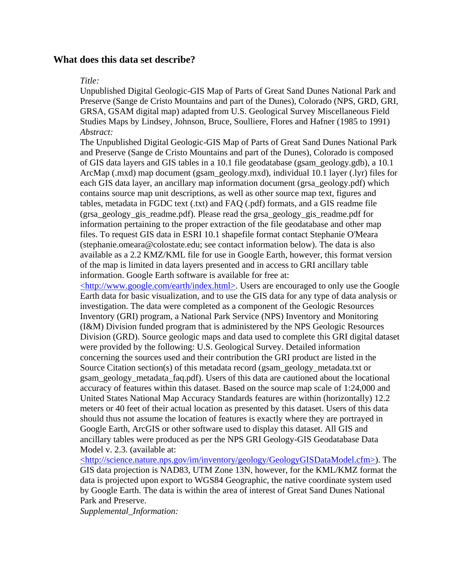# **What does this data set describe?**

### *Title:*

Unpublished Digital Geologic-GIS Map of Parts of Great Sand Dunes National Park and Preserve (Sange de Cristo Mountains and part of the Dunes), Colorado (NPS, GRD, GRI, GRSA, GSAM digital map) adapted from U.S. Geological Survey Miscellaneous Field Studies Maps by Lindsey, Johnson, Bruce, Soulliere, Flores and Hafner (1985 to 1991) *Abstract:*

The Unpublished Digital Geologic-GIS Map of Parts of Great Sand Dunes National Park and Preserve (Sange de Cristo Mountains and part of the Dunes), Colorado is composed of GIS data layers and GIS tables in a 10.1 file geodatabase (gsam\_geology.gdb), a 10.1 ArcMap (.mxd) map document (gsam\_geology.mxd), individual 10.1 layer (.lyr) files for each GIS data layer, an ancillary map information document (grsa\_geology.pdf) which contains source map unit descriptions, as well as other source map text, figures and tables, metadata in FGDC text (.txt) and FAQ (.pdf) formats, and a GIS readme file (grsa\_geology\_gis\_readme.pdf). Please read the grsa\_geology\_gis\_readme.pdf for information pertaining to the proper extraction of the file geodatabase and other map files. To request GIS data in ESRI 10.1 shapefile format contact Stephanie O'Meara (stephanie.omeara@colostate.edu; see contact information below). The data is also available as a 2.2 KMZ/KML file for use in Google Earth, however, this format version of the map is limited in data layers presented and in access to GRI ancillary table information. Google Earth software is available for free at:

[<http://www.google.com/earth/index.html>.](http://www.google.com/earth/index.html) Users are encouraged to only use the Google Earth data for basic visualization, and to use the GIS data for any type of data analysis or investigation. The data were completed as a component of the Geologic Resources Inventory (GRI) program, a National Park Service (NPS) Inventory and Monitoring (I&M) Division funded program that is administered by the NPS Geologic Resources Division (GRD). Source geologic maps and data used to complete this GRI digital dataset were provided by the following: U.S. Geological Survey. Detailed information concerning the sources used and their contribution the GRI product are listed in the Source Citation section(s) of this metadata record (gsam\_geology\_metadata.txt or gsam\_geology\_metadata\_faq.pdf). Users of this data are cautioned about the locational accuracy of features within this dataset. Based on the source map scale of 1:24,000 and United States National Map Accuracy Standards features are within (horizontally) 12.2 meters or 40 feet of their actual location as presented by this dataset. Users of this data should thus not assume the location of features is exactly where they are portrayed in Google Earth, ArcGIS or other software used to display this dataset. All GIS and ancillary tables were produced as per the NPS GRI Geology-GIS Geodatabase Data Model v. 2.3. (available at:

[<http://science.nature.nps.gov/im/inventory/geology/GeologyGISDataModel.cfm>\)](http://science.nature.nps.gov/im/inventory/geology/GeologyGISDataModel.cfm). The GIS data projection is NAD83, UTM Zone 13N, however, for the KML/KMZ format the data is projected upon export to WGS84 Geographic, the native coordinate system used by Google Earth. The data is within the area of interest of Great Sand Dunes National Park and Preserve.

*Supplemental\_Information:*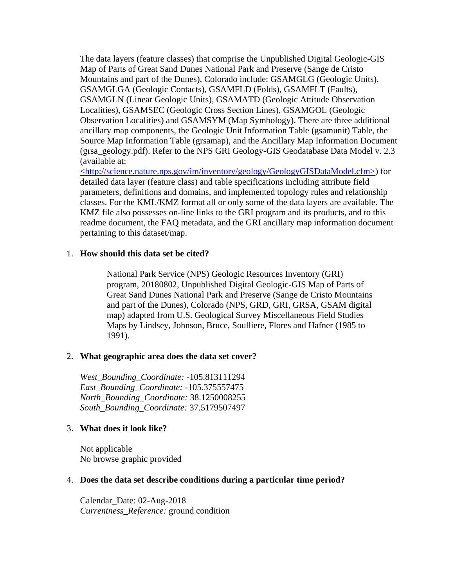The data layers (feature classes) that comprise the Unpublished Digital Geologic-GIS Map of Parts of Great Sand Dunes National Park and Preserve (Sange de Cristo Mountains and part of the Dunes), Colorado include: GSAMGLG (Geologic Units), GSAMGLGA (Geologic Contacts), GSAMFLD (Folds), GSAMFLT (Faults), GSAMGLN (Linear Geologic Units), GSAMATD (Geologic Attitude Observation Localities), GSAMSEC (Geologic Cross Section Lines), GSAMGOL (Geologic Observation Localities) and GSAMSYM (Map Symbology). There are three additional ancillary map components, the Geologic Unit Information Table (gsamunit) Table, the Source Map Information Table (grsamap), and the Ancillary Map Information Document (grsa\_geology.pdf). Refer to the NPS GRI Geology-GIS Geodatabase Data Model v. 2.3 (available at:

[<http://science.nature.nps.gov/im/inventory/geology/GeologyGISDataModel.cfm>\)](http://science.nature.nps.gov/im/inventory/geology/GeologyGISDataModel.cfm) for detailed data layer (feature class) and table specifications including attribute field parameters, definitions and domains, and implemented topology rules and relationship classes. For the KML/KMZ format all or only some of the data layers are available. The KMZ file also possesses on-line links to the GRI program and its products, and to this readme document, the FAQ metadata, and the GRI ancillary map information document pertaining to this dataset/map.

## <span id="page-2-0"></span>1. **How should this data set be cited?**

National Park Service (NPS) Geologic Resources Inventory (GRI) program, 20180802, Unpublished Digital Geologic-GIS Map of Parts of Great Sand Dunes National Park and Preserve (Sange de Cristo Mountains and part of the Dunes), Colorado (NPS, GRD, GRI, GRSA, GSAM digital map) adapted from U.S. Geological Survey Miscellaneous Field Studies Maps by Lindsey, Johnson, Bruce, Soulliere, Flores and Hafner (1985 to 1991).

### <span id="page-2-1"></span>2. **What geographic area does the data set cover?**

*West\_Bounding\_Coordinate:* -105.813111294 *East\_Bounding\_Coordinate:* -105.375557475 *North\_Bounding\_Coordinate:* 38.1250008255 *South\_Bounding\_Coordinate:* 37.5179507497

## <span id="page-2-2"></span>3. **What does it look like?**

Not applicable No browse graphic provided

### <span id="page-2-3"></span>4. **Does the data set describe conditions during a particular time period?**

Calendar\_Date: 02-Aug-2018 *Currentness\_Reference:* ground condition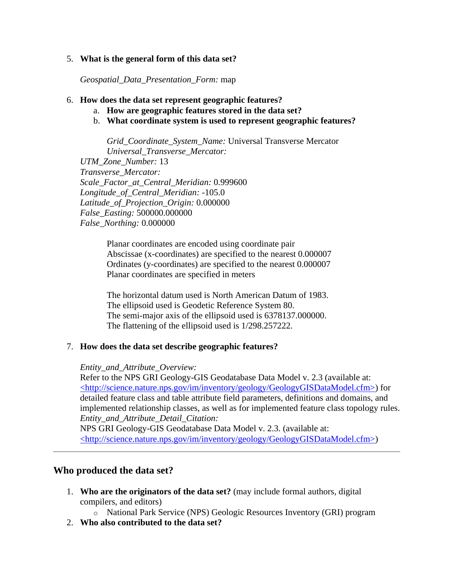# <span id="page-3-0"></span>5. **What is the general form of this data set?**

*Geospatial\_Data\_Presentation\_Form:* map

## <span id="page-3-1"></span>6. **How does the data set represent geographic features?**

- a. **How are geographic features stored in the data set?**
- b. **What coordinate system is used to represent geographic features?**

*Grid\_Coordinate\_System\_Name:* Universal Transverse Mercator *Universal\_Transverse\_Mercator: UTM\_Zone\_Number:* 13 *Transverse\_Mercator: Scale\_Factor\_at\_Central\_Meridian:* 0.999600 *Longitude\_of\_Central\_Meridian:* -105.0 *Latitude\_of\_Projection\_Origin:* 0.000000 *False\_Easting:* 500000.000000 *False\_Northing:* 0.000000

> Planar coordinates are encoded using coordinate pair Abscissae (x-coordinates) are specified to the nearest 0.000007 Ordinates (y-coordinates) are specified to the nearest 0.000007 Planar coordinates are specified in meters

The horizontal datum used is North American Datum of 1983. The ellipsoid used is Geodetic Reference System 80. The semi-major axis of the ellipsoid used is 6378137.000000. The flattening of the ellipsoid used is 1/298.257222.

## <span id="page-3-2"></span>7. **How does the data set describe geographic features?**

## *Entity\_and\_Attribute\_Overview:*

Refer to the NPS GRI Geology-GIS Geodatabase Data Model v. 2.3 (available at: [<http://science.nature.nps.gov/im/inventory/geology/GeologyGISDataModel.cfm>\)](http://science.nature.nps.gov/im/inventory/geology/GeologyGISDataModel.cfm) for detailed feature class and table attribute field parameters, definitions and domains, and implemented relationship classes, as well as for implemented feature class topology rules. *Entity\_and\_Attribute\_Detail\_Citation:*

NPS GRI Geology-GIS Geodatabase Data Model v. 2.3. (available at: [<http://science.nature.nps.gov/im/inventory/geology/GeologyGISDataModel.cfm>\)](http://science.nature.nps.gov/im/inventory/geology/GeologyGISDataModel.cfm)

# <span id="page-3-3"></span>**Who produced the data set?**

<span id="page-3-4"></span>1. **Who are the originators of the data set?** (may include formal authors, digital compilers, and editors)

o National Park Service (NPS) Geologic Resources Inventory (GRI) program

<span id="page-3-5"></span>2. **Who also contributed to the data set?**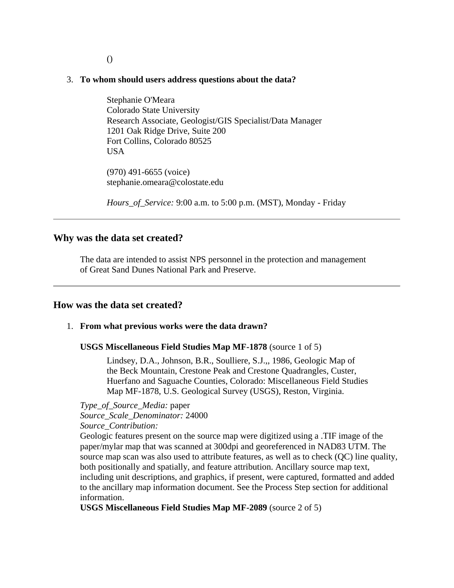### ()

### <span id="page-4-0"></span>3. **To whom should users address questions about the data?**

Stephanie O'Meara Colorado State University Research Associate, Geologist/GIS Specialist/Data Manager 1201 Oak Ridge Drive, Suite 200 Fort Collins, Colorado 80525 USA

(970) 491-6655 (voice) stephanie.omeara@colostate.edu

*Hours\_of\_Service:* 9:00 a.m. to 5:00 p.m. (MST), Monday - Friday

### <span id="page-4-1"></span>**Why was the data set created?**

The data are intended to assist NPS personnel in the protection and management of Great Sand Dunes National Park and Preserve.

### <span id="page-4-2"></span>**How was the data set created?**

### <span id="page-4-3"></span>1. **From what previous works were the data drawn?**

#### **USGS Miscellaneous Field Studies Map MF-1878** (source 1 of 5)

Lindsey, D.A., Johnson, B.R., Soulliere, S.J.,, 1986, Geologic Map of the Beck Mountain, Crestone Peak and Crestone Quadrangles, Custer, Huerfano and Saguache Counties, Colorado: Miscellaneous Field Studies Map MF-1878, U.S. Geological Survey (USGS), Reston, Virginia.

*Type\_of\_Source\_Media:* paper *Source\_Scale\_Denominator:* 24000 *Source\_Contribution:*

Geologic features present on the source map were digitized using a .TIF image of the paper/mylar map that was scanned at 300dpi and georeferenced in NAD83 UTM. The source map scan was also used to attribute features, as well as to check (QC) line quality, both positionally and spatially, and feature attribution. Ancillary source map text, including unit descriptions, and graphics, if present, were captured, formatted and added to the ancillary map information document. See the Process Step section for additional information.

**USGS Miscellaneous Field Studies Map MF-2089** (source 2 of 5)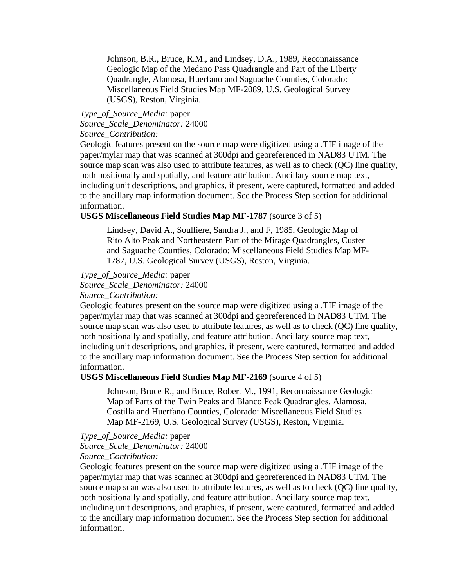Johnson, B.R., Bruce, R.M., and Lindsey, D.A., 1989, Reconnaissance Geologic Map of the Medano Pass Quadrangle and Part of the Liberty Quadrangle, Alamosa, Huerfano and Saguache Counties, Colorado: Miscellaneous Field Studies Map MF-2089, U.S. Geological Survey (USGS), Reston, Virginia.

## *Type\_of\_Source\_Media:* paper *Source\_Scale\_Denominator:* 24000 *Source\_Contribution:*

Geologic features present on the source map were digitized using a .TIF image of the paper/mylar map that was scanned at 300dpi and georeferenced in NAD83 UTM. The source map scan was also used to attribute features, as well as to check (QC) line quality, both positionally and spatially, and feature attribution. Ancillary source map text, including unit descriptions, and graphics, if present, were captured, formatted and added to the ancillary map information document. See the Process Step section for additional information.

## **USGS Miscellaneous Field Studies Map MF-1787** (source 3 of 5)

Lindsey, David A., Soulliere, Sandra J., and F, 1985, Geologic Map of Rito Alto Peak and Northeastern Part of the Mirage Quadrangles, Custer and Saguache Counties, Colorado: Miscellaneous Field Studies Map MF-1787, U.S. Geological Survey (USGS), Reston, Virginia.

# *Type\_of\_Source\_Media:* paper

*Source\_Scale\_Denominator:* 24000

### *Source\_Contribution:*

Geologic features present on the source map were digitized using a .TIF image of the paper/mylar map that was scanned at 300dpi and georeferenced in NAD83 UTM. The source map scan was also used to attribute features, as well as to check (QC) line quality, both positionally and spatially, and feature attribution. Ancillary source map text, including unit descriptions, and graphics, if present, were captured, formatted and added to the ancillary map information document. See the Process Step section for additional information.

#### **USGS Miscellaneous Field Studies Map MF-2169** (source 4 of 5)

Johnson, Bruce R., and Bruce, Robert M., 1991, Reconnaissance Geologic Map of Parts of the Twin Peaks and Blanco Peak Quadrangles, Alamosa, Costilla and Huerfano Counties, Colorado: Miscellaneous Field Studies Map MF-2169, U.S. Geological Survey (USGS), Reston, Virginia.

#### *Type\_of\_Source\_Media:* paper *Source\_Scale\_Denominator:* 24000

### *Source\_Contribution:*

Geologic features present on the source map were digitized using a .TIF image of the paper/mylar map that was scanned at 300dpi and georeferenced in NAD83 UTM. The source map scan was also used to attribute features, as well as to check (QC) line quality, both positionally and spatially, and feature attribution. Ancillary source map text, including unit descriptions, and graphics, if present, were captured, formatted and added to the ancillary map information document. See the Process Step section for additional information.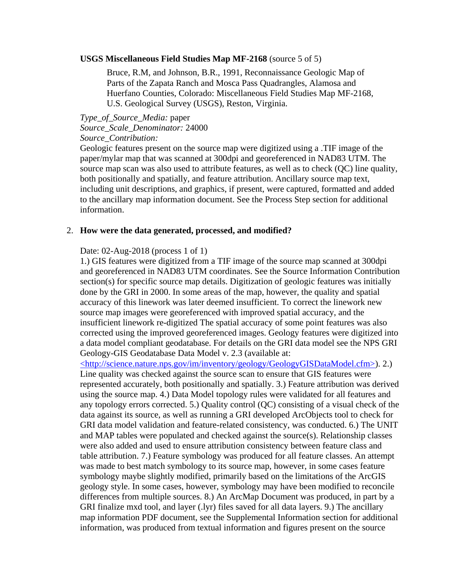### **USGS Miscellaneous Field Studies Map MF-2168** (source 5 of 5)

Bruce, R.M, and Johnson, B.R., 1991, Reconnaissance Geologic Map of Parts of the Zapata Ranch and Mosca Pass Quadrangles, Alamosa and Huerfano Counties, Colorado: Miscellaneous Field Studies Map MF-2168, U.S. Geological Survey (USGS), Reston, Virginia.

*Type\_of\_Source\_Media:* paper *Source\_Scale\_Denominator:* 24000 *Source\_Contribution:*

Geologic features present on the source map were digitized using a .TIF image of the paper/mylar map that was scanned at 300dpi and georeferenced in NAD83 UTM. The source map scan was also used to attribute features, as well as to check (QC) line quality, both positionally and spatially, and feature attribution. Ancillary source map text, including unit descriptions, and graphics, if present, were captured, formatted and added to the ancillary map information document. See the Process Step section for additional information.

#### <span id="page-6-0"></span>2. **How were the data generated, processed, and modified?**

### Date: 02-Aug-2018 (process 1 of 1)

1.) GIS features were digitized from a TIF image of the source map scanned at 300dpi and georeferenced in NAD83 UTM coordinates. See the Source Information Contribution section(s) for specific source map details. Digitization of geologic features was initially done by the GRI in 2000. In some areas of the map, however, the quality and spatial accuracy of this linework was later deemed insufficient. To correct the linework new source map images were georeferenced with improved spatial accuracy, and the insufficient linework re-digitized The spatial accuracy of some point features was also corrected using the improved georeferenced images. Geology features were digitized into a data model compliant geodatabase. For details on the GRI data model see the NPS GRI Geology-GIS Geodatabase Data Model v. 2.3 (available at:

[<http://science.nature.nps.gov/im/inventory/geology/GeologyGISDataModel.cfm>\)](http://science.nature.nps.gov/im/inventory/geology/GeologyGISDataModel.cfm). 2.) Line quality was checked against the source scan to ensure that GIS features were represented accurately, both positionally and spatially. 3.) Feature attribution was derived using the source map. 4.) Data Model topology rules were validated for all features and any topology errors corrected. 5.) Quality control (QC) consisting of a visual check of the data against its source, as well as running a GRI developed ArcObjects tool to check for GRI data model validation and feature-related consistency, was conducted. 6.) The UNIT and MAP tables were populated and checked against the source(s). Relationship classes were also added and used to ensure attribution consistency between feature class and table attribution. 7.) Feature symbology was produced for all feature classes. An attempt was made to best match symbology to its source map, however, in some cases feature symbology maybe slightly modified, primarily based on the limitations of the ArcGIS geology style. In some cases, however, symbology may have been modified to reconcile differences from multiple sources. 8.) An ArcMap Document was produced, in part by a GRI finalize mxd tool, and layer (.lyr) files saved for all data layers. 9.) The ancillary map information PDF document, see the Supplemental Information section for additional information, was produced from textual information and figures present on the source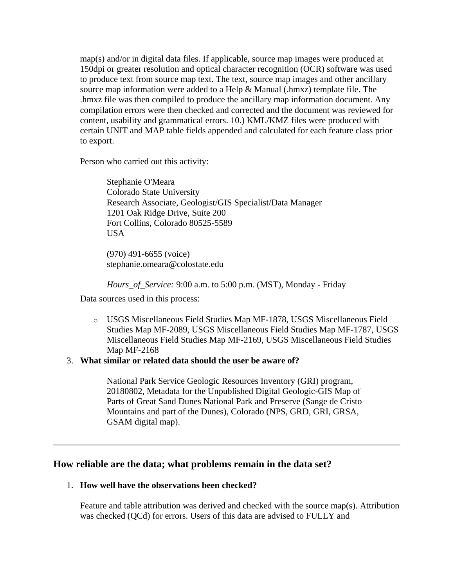map(s) and/or in digital data files. If applicable, source map images were produced at 150dpi or greater resolution and optical character recognition (OCR) software was used to produce text from source map text. The text, source map images and other ancillary source map information were added to a Help  $\&$  Manual (.hmxz) template file. The .hmxz file was then compiled to produce the ancillary map information document. Any compilation errors were then checked and corrected and the document was reviewed for content, usability and grammatical errors. 10.) KML/KMZ files were produced with certain UNIT and MAP table fields appended and calculated for each feature class prior to export.

Person who carried out this activity:

Stephanie O'Meara Colorado State University Research Associate, Geologist/GIS Specialist/Data Manager 1201 Oak Ridge Drive, Suite 200 Fort Collins, Colorado 80525-5589 USA

(970) 491-6655 (voice) stephanie.omeara@colostate.edu

*Hours\_of\_Service:* 9:00 a.m. to 5:00 p.m. (MST), Monday - Friday

Data sources used in this process:

o USGS Miscellaneous Field Studies Map MF-1878, USGS Miscellaneous Field Studies Map MF-2089, USGS Miscellaneous Field Studies Map MF-1787, USGS Miscellaneous Field Studies Map MF-2169, USGS Miscellaneous Field Studies Map MF-2168

## <span id="page-7-0"></span>3. **What similar or related data should the user be aware of?**

National Park Service Geologic Resources Inventory (GRI) program, 20180802, Metadata for the Unpublished Digital Geologic-GIS Map of Parts of Great Sand Dunes National Park and Preserve (Sange de Cristo Mountains and part of the Dunes), Colorado (NPS, GRD, GRI, GRSA, GSAM digital map).

# <span id="page-7-1"></span>**How reliable are the data; what problems remain in the data set?**

## <span id="page-7-2"></span>1. **How well have the observations been checked?**

Feature and table attribution was derived and checked with the source map(s). Attribution was checked (QCd) for errors. Users of this data are advised to FULLY and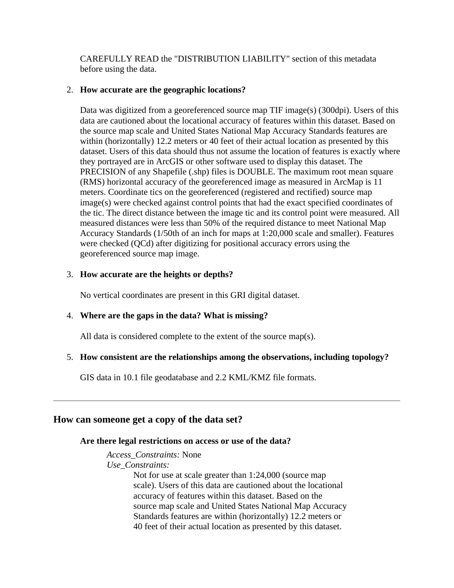CAREFULLY READ the "DISTRIBUTION LIABILITY" section of this metadata before using the data.

# <span id="page-8-0"></span>2. **How accurate are the geographic locations?**

Data was digitized from a georeferenced source map TIF image(s) (300dpi). Users of this data are cautioned about the locational accuracy of features within this dataset. Based on the source map scale and United States National Map Accuracy Standards features are within (horizontally) 12.2 meters or 40 feet of their actual location as presented by this dataset. Users of this data should thus not assume the location of features is exactly where they portrayed are in ArcGIS or other software used to display this dataset. The PRECISION of any Shapefile (.shp) files is DOUBLE. The maximum root mean square (RMS) horizontal accuracy of the georeferenced image as measured in ArcMap is 11 meters. Coordinate tics on the georeferenced (registered and rectified) source map image(s) were checked against control points that had the exact specified coordinates of the tic. The direct distance between the image tic and its control point were measured. All measured distances were less than 50% of the required distance to meet National Map Accuracy Standards (1/50th of an inch for maps at 1:20,000 scale and smaller). Features were checked (QCd) after digitizing for positional accuracy errors using the georeferenced source map image.

# <span id="page-8-1"></span>3. **How accurate are the heights or depths?**

No vertical coordinates are present in this GRI digital dataset.

# <span id="page-8-2"></span>4. **Where are the gaps in the data? What is missing?**

All data is considered complete to the extent of the source map(s).

# <span id="page-8-3"></span>5. **How consistent are the relationships among the observations, including topology?**

GIS data in 10.1 file geodatabase and 2.2 KML/KMZ file formats.

# <span id="page-8-5"></span><span id="page-8-4"></span>**How can someone get a copy of the data set?**

# **Are there legal restrictions on access or use of the data?**

*Access\_Constraints:* None

*Use\_Constraints:*

Not for use at scale greater than 1:24,000 (source map scale). Users of this data are cautioned about the locational accuracy of features within this dataset. Based on the source map scale and United States National Map Accuracy Standards features are within (horizontally) 12.2 meters or 40 feet of their actual location as presented by this dataset.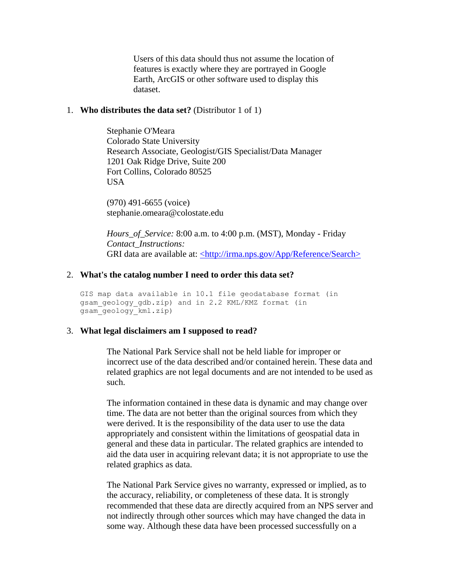Users of this data should thus not assume the location of features is exactly where they are portrayed in Google Earth, ArcGIS or other software used to display this dataset.

### <span id="page-9-0"></span>1. **Who distributes the data set?** (Distributor 1 of 1)

Stephanie O'Meara Colorado State University Research Associate, Geologist/GIS Specialist/Data Manager 1201 Oak Ridge Drive, Suite 200 Fort Collins, Colorado 80525 USA

(970) 491-6655 (voice) stephanie.omeara@colostate.edu

*Hours\_of\_Service:* 8:00 a.m. to 4:00 p.m. (MST), Monday - Friday *Contact\_Instructions:* GRI data are available at: [<http://irma.nps.gov/App/Reference/Search>](http://irma.nps.gov/App/Reference/Search)

## <span id="page-9-1"></span>2. **What's the catalog number I need to order this data set?**

```
GIS map data available in 10.1 file geodatabase format (in 
gsam geology gdb.zip) and in 2.2 KML/KMZ format (in
gsam_geology_kml.zip)
```
## <span id="page-9-2"></span>3. **What legal disclaimers am I supposed to read?**

The National Park Service shall not be held liable for improper or incorrect use of the data described and/or contained herein. These data and related graphics are not legal documents and are not intended to be used as such.

The information contained in these data is dynamic and may change over time. The data are not better than the original sources from which they were derived. It is the responsibility of the data user to use the data appropriately and consistent within the limitations of geospatial data in general and these data in particular. The related graphics are intended to aid the data user in acquiring relevant data; it is not appropriate to use the related graphics as data.

The National Park Service gives no warranty, expressed or implied, as to the accuracy, reliability, or completeness of these data. It is strongly recommended that these data are directly acquired from an NPS server and not indirectly through other sources which may have changed the data in some way. Although these data have been processed successfully on a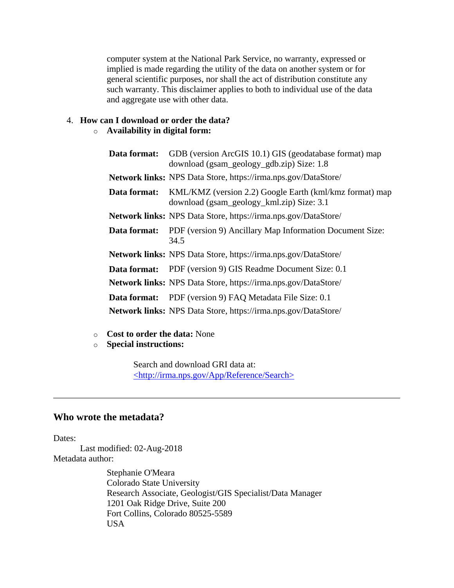computer system at the National Park Service, no warranty, expressed or implied is made regarding the utility of the data on another system or for general scientific purposes, nor shall the act of distribution constitute any such warranty. This disclaimer applies to both to individual use of the data and aggregate use with other data.

# <span id="page-10-0"></span>4. **How can I download or order the data?**

# o **Availability in digital form:**

| Data format: | GDB (version ArcGIS 10.1) GIS (geodatabase format) map<br>download (gsam_geology_gdb.zip) Size: 1.8  |
|--------------|------------------------------------------------------------------------------------------------------|
|              | Network links: NPS Data Store, https://irma.nps.gov/DataStore/                                       |
| Data format: | KML/KMZ (version 2.2) Google Earth (kml/kmz format) map<br>download (gsam_geology_kml.zip) Size: 3.1 |
|              | Network links: NPS Data Store, https://irma.nps.gov/DataStore/                                       |
| Data format: | PDF (version 9) Ancillary Map Information Document Size:<br>34.5                                     |
|              | <b>Network links:</b> NPS Data Store, https://irma.nps.gov/DataStore/                                |
|              | <b>Data format:</b> PDF (version 9) GIS Readme Document Size: 0.1                                    |
|              | Network links: NPS Data Store, https://irma.nps.gov/DataStore/                                       |
| Data format: | PDF (version 9) FAQ Metadata File Size: 0.1                                                          |
|              | <b>Network links:</b> NPS Data Store, https://irma.nps.gov/DataStore/                                |

- o **Cost to order the data:** None
- o **Special instructions:**

Search and download GRI data at: [<http://irma.nps.gov/App/Reference/Search>](http://irma.nps.gov/App/Reference/Search)

# <span id="page-10-1"></span>**Who wrote the metadata?**

Dates:

Last modified: 02-Aug-2018 Metadata author:

> Stephanie O'Meara Colorado State University Research Associate, Geologist/GIS Specialist/Data Manager 1201 Oak Ridge Drive, Suite 200 Fort Collins, Colorado 80525-5589 USA